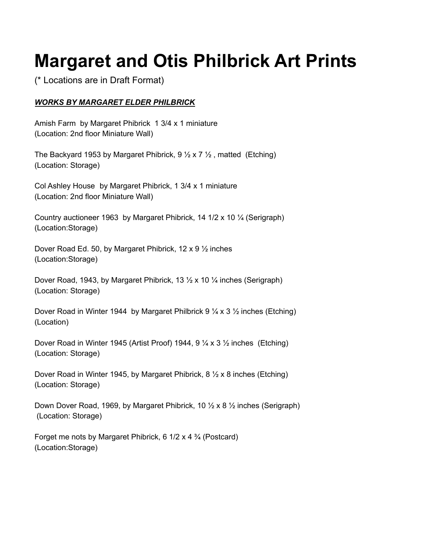## **Margaret and Otis Philbrick Art Prints**

(\* Locations are in Draft Format)

## *WORKS BY MARGARET ELDER PHILBRICK*

Amish Farm by Margaret Phibrick 1 3/4 x 1 miniature (Location: 2nd floor Miniature Wall)

The Backyard 1953 by Margaret Phibrick,  $9\frac{1}{2} \times 7\frac{1}{2}$ , matted (Etching) (Location: Storage)

Col Ashley House by Margaret Phibrick, 1 3/4 x 1 miniature (Location: 2nd floor Miniature Wall)

Country auctioneer 1963 by Margaret Phibrick, 14 1/2 x 10 ¼ (Serigraph) (Location:Storage)

Dover Road Ed. 50, by Margaret Phibrick, 12 x 9 ½ inches (Location:Storage)

Dover Road, 1943, by Margaret Phibrick, 13 ½ x 10 ¼ inches (Serigraph) (Location: Storage)

Dover Road in Winter 1944 by Margaret Philbrick 9  $\frac{1}{4} \times 3 \frac{1}{2}$  inches (Etching) (Location)

Dover Road in Winter 1945 (Artist Proof) 1944, 9 ¼ x 3 ½ inches (Etching) (Location: Storage)

Dover Road in Winter 1945, by Margaret Phibrick, 8 ½ x 8 inches (Etching) (Location: Storage)

Down Dover Road, 1969, by Margaret Phibrick, 10 ½ x 8 ½ inches (Serigraph) (Location: Storage)

Forget me nots by Margaret Phibrick, 6 1/2 x 4 ¾ (Postcard) (Location:Storage)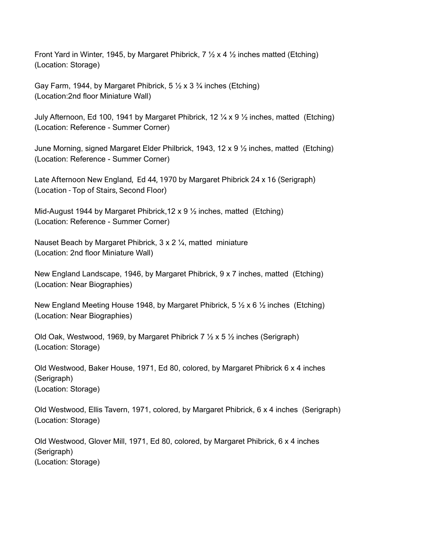Front Yard in Winter, 1945, by Margaret Phibrick,  $7 \frac{1}{2} \times 4 \frac{1}{2}$  inches matted (Etching) (Location: Storage)

Gay Farm, 1944, by Margaret Phibrick,  $5\frac{1}{2} \times 3\frac{3}{4}$  inches (Etching) (Location:2nd floor Miniature Wall)

July Afternoon, Ed 100, 1941 by Margaret Phibrick, 12  $\frac{1}{4}$  x 9  $\frac{1}{2}$  inches, matted (Etching) (Location: Reference - Summer Corner)

June Morning, signed Margaret Elder Philbrick, 1943, 12 x 9 ½ inches, matted (Etching) (Location: Reference - Summer Corner)

Late Afternoon New England, Ed 44, 1970 by Margaret Phibrick 24 x 16 (Serigraph) (Location - Top of Stairs, Second Floor)

Mid-August 1944 by Margaret Phibrick,12 x 9 ½ inches, matted (Etching) (Location: Reference - Summer Corner)

Nauset Beach by Margaret Phibrick, 3 x 2 ¼, matted miniature (Location: 2nd floor Miniature Wall)

New England Landscape, 1946, by Margaret Phibrick, 9 x 7 inches, matted (Etching) (Location: Near Biographies)

New England Meeting House 1948, by Margaret Phibrick,  $5 \frac{1}{2} \times 6 \frac{1}{2}$  inches (Etching) (Location: Near Biographies)

Old Oak, Westwood, 1969, by Margaret Phibrick 7  $\frac{1}{2}$  x 5  $\frac{1}{2}$  inches (Serigraph) (Location: Storage)

Old Westwood, Baker House, 1971, Ed 80, colored, by Margaret Phibrick 6 x 4 inches (Serigraph) (Location: Storage)

Old Westwood, Ellis Tavern, 1971, colored, by Margaret Phibrick, 6 x 4 inches (Serigraph) (Location: Storage)

Old Westwood, Glover Mill, 1971, Ed 80, colored, by Margaret Phibrick, 6 x 4 inches (Serigraph) (Location: Storage)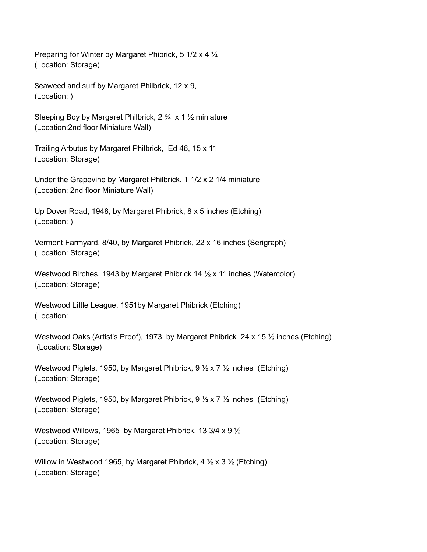Preparing for Winter by Margaret Phibrick, 5 1/2 x 4 ¼ (Location: Storage)

Seaweed and surf by Margaret Philbrick, 12 x 9, (Location: )

Sleeping Boy by Margaret Philbrick, 2 ¾ x 1 ½ miniature (Location:2nd floor Miniature Wall)

Trailing Arbutus by Margaret Philbrick, Ed 46, 15 x 11 (Location: Storage)

Under the Grapevine by Margaret Philbrick, 1 1/2 x 2 1/4 miniature (Location: 2nd floor Miniature Wall)

Up Dover Road, 1948, by Margaret Phibrick, 8 x 5 inches (Etching) (Location: )

Vermont Farmyard, 8/40, by Margaret Phibrick, 22 x 16 inches (Serigraph) (Location: Storage)

Westwood Birches, 1943 by Margaret Phibrick 14  $\frac{1}{2}$  x 11 inches (Watercolor) (Location: Storage)

Westwood Little League, 1951by Margaret Phibrick (Etching) (Location:

Westwood Oaks (Artist's Proof), 1973, by Margaret Phibrick 24 x 15 1/2 inches (Etching) (Location: Storage)

Westwood Piglets, 1950, by Margaret Phibrick, 9 ½ x 7 ½ inches (Etching) (Location: Storage)

Westwood Piglets, 1950, by Margaret Phibrick, 9 ½ x 7 ½ inches (Etching) (Location: Storage)

Westwood Willows, 1965 by Margaret Phibrick, 13 3/4 x 9 ½ (Location: Storage)

Willow in Westwood 1965, by Margaret Phibrick, 4  $\frac{1}{2}$  x 3  $\frac{1}{2}$  (Etching) (Location: Storage)